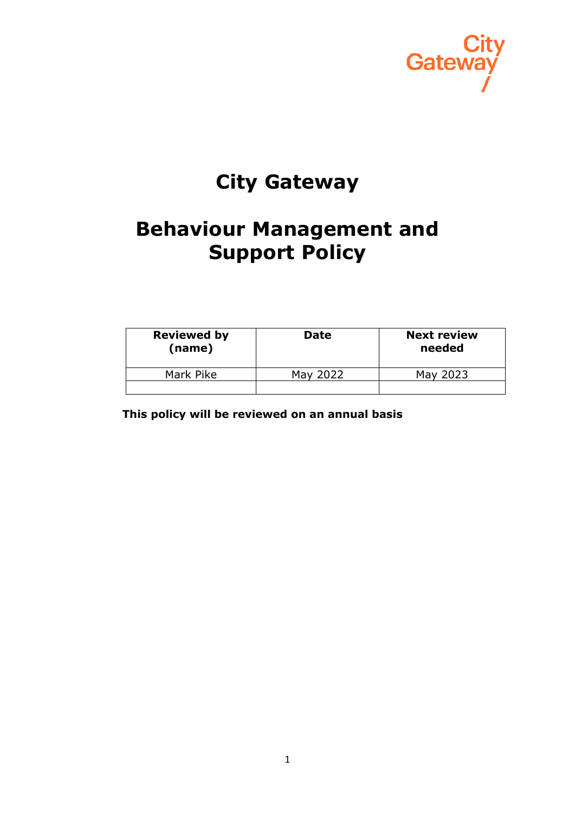

# **City Gateway**

# **Behaviour Management and Support Policy**

| <b>Reviewed by</b><br>(name) | <b>Date</b> | <b>Next review</b><br>needed |
|------------------------------|-------------|------------------------------|
| Mark Pike                    | May 2022    | May 2023                     |
|                              |             |                              |

 **This policy will be reviewed on an annual basis**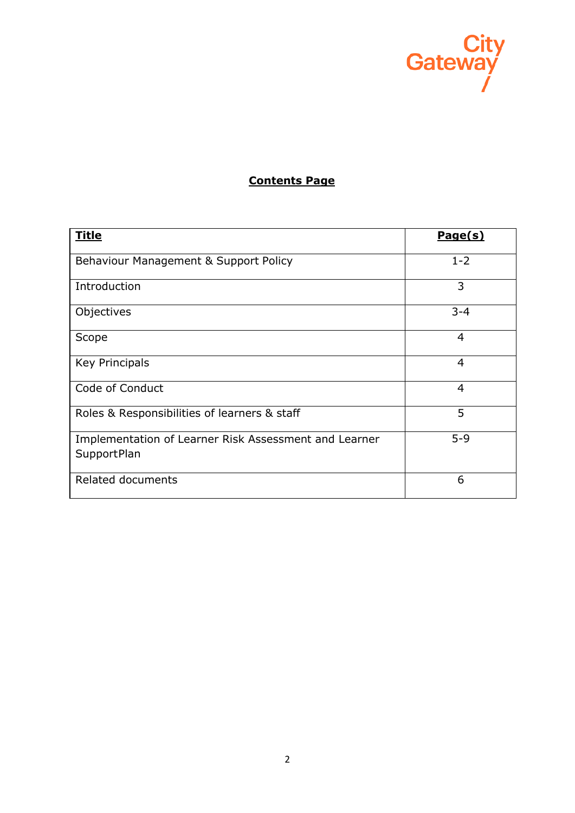

# **Contents Page**

| <b>Title</b>                                                                | Page(s)        |
|-----------------------------------------------------------------------------|----------------|
| Behaviour Management & Support Policy                                       | $1 - 2$        |
| Introduction                                                                | 3              |
| Objectives                                                                  | $3 - 4$        |
| Scope                                                                       | $\overline{4}$ |
| <b>Key Principals</b>                                                       | $\overline{4}$ |
| Code of Conduct                                                             | $\overline{4}$ |
| Roles & Responsibilities of learners & staff                                | 5              |
| Implementation of Learner Risk Assessment and Learner<br><b>SupportPlan</b> | $5 - 9$        |
| Related documents                                                           | 6              |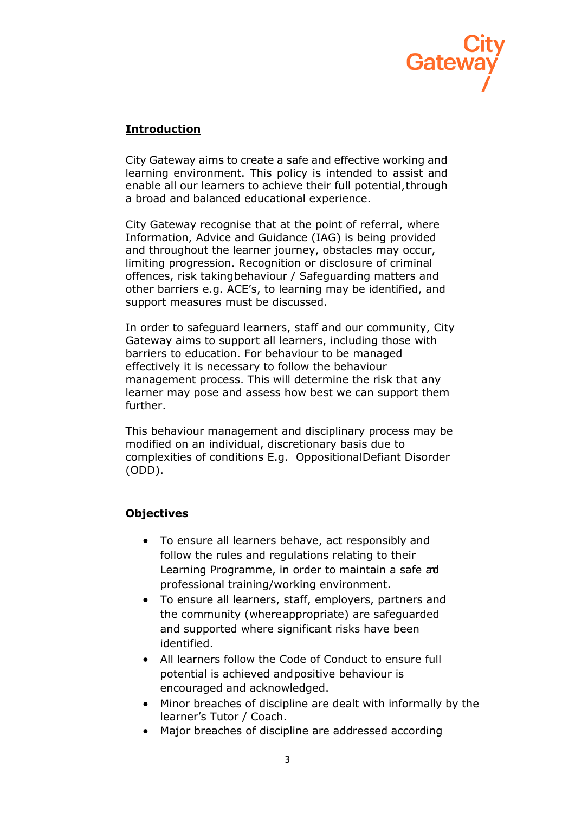

## **Introduction**

City Gateway aims to create a safe and effective working and learning environment. This policy is intended to assist and enable all our learners to achieve their full potential,through a broad and balanced educational experience.

City Gateway recognise that at the point of referral, where Information, Advice and Guidance (IAG) is being provided and throughout the learner journey, obstacles may occur, limiting progression. Recognition or disclosure of criminal offences, risk takingbehaviour / Safeguarding matters and other barriers e.g. ACE's, to learning may be identified, and support measures must be discussed.

In order to safeguard learners, staff and our community, City Gateway aims to support all learners, including those with barriers to education. For behaviour to be managed effectively it is necessary to follow the behaviour management process. This will determine the risk that any learner may pose and assess how best we can support them further.

This behaviour management and disciplinary process may be modified on an individual, discretionary basis due to complexities of conditions E.g. OppositionalDefiant Disorder (ODD).

## **Objectives**

- To ensure all learners behave, act responsibly and follow the rules and regulations relating to their Learning Programme, in order to maintain a safe ad professional training/working environment.
- To ensure all learners, staff, employers, partners and the community (whereappropriate) are safeguarded and supported where significant risks have been identified.
- All learners follow the Code of Conduct to ensure full potential is achieved andpositive behaviour is encouraged and acknowledged.
- Minor breaches of discipline are dealt with informally by the learner's Tutor / Coach.
- Major breaches of discipline are addressed according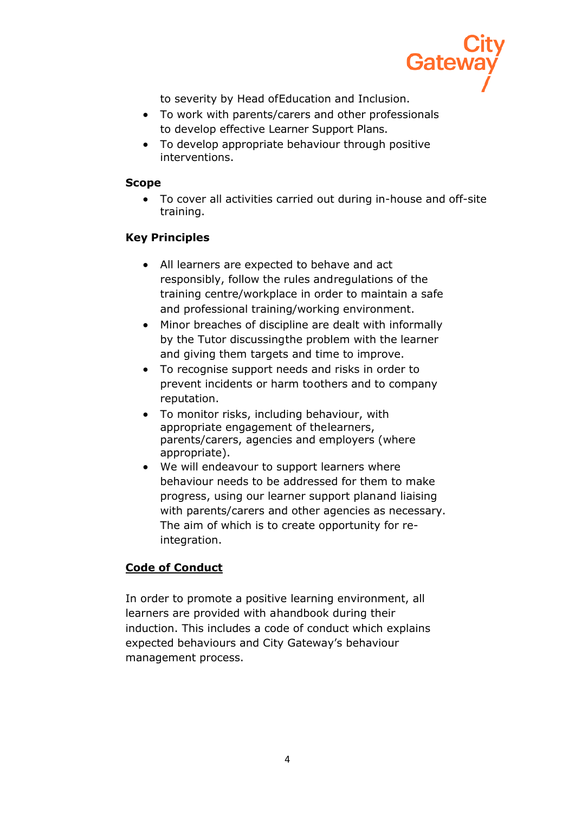

to severity by Head ofEducation and Inclusion.

- To work with parents/carers and other professionals to develop effective Learner Support Plans.
- To develop appropriate behaviour through positive interventions.

### **Scope**

• To cover all activities carried out during in-house and off-site training.

## **Key Principles**

- All learners are expected to behave and act responsibly, follow the rules andregulations of the training centre/workplace in order to maintain a safe and professional training/working environment.
- Minor breaches of discipline are dealt with informally by the Tutor discussingthe problem with the learner and giving them targets and time to improve.
- To recognise support needs and risks in order to prevent incidents or harm toothers and to company reputation.
- To monitor risks, including behaviour, with appropriate engagement of thelearners, parents/carers, agencies and employers (where appropriate).
- We will endeavour to support learners where behaviour needs to be addressed for them to make progress, using our learner support planand liaising with parents/carers and other agencies as necessary. The aim of which is to create opportunity for reintegration.

## **Code of Conduct**

In order to promote a positive learning environment, all learners are provided with ahandbook during their induction. This includes a code of conduct which explains expected behaviours and City Gateway's behaviour management process.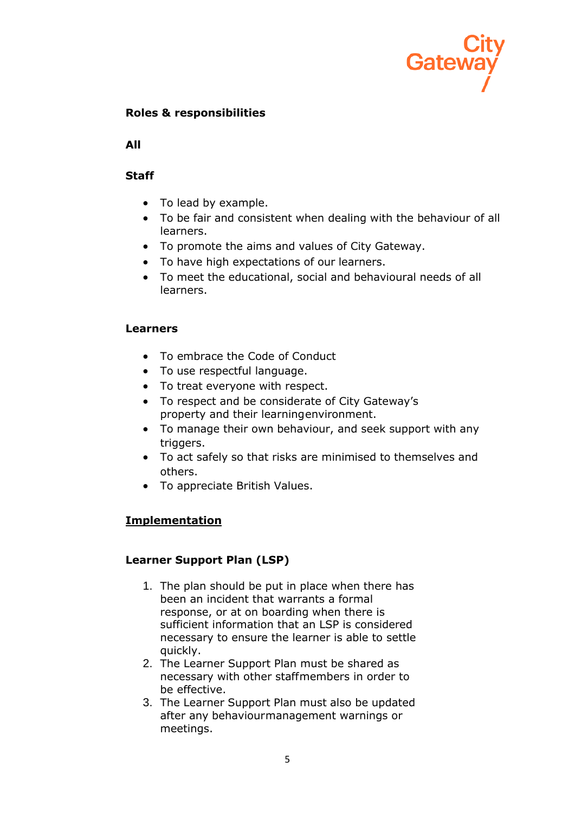

## **Roles & responsibilities**

**All**

### **Staff**

- To lead by example.
- To be fair and consistent when dealing with the behaviour of all learners.
- To promote the aims and values of City Gateway.
- To have high expectations of our learners.
- To meet the educational, social and behavioural needs of all learners.

#### **Learners**

- To embrace the Code of Conduct
- To use respectful language.
- To treat everyone with respect.
- To respect and be considerate of City Gateway's property and their learningenvironment.
- To manage their own behaviour, and seek support with any triggers.
- To act safely so that risks are minimised to themselves and others.
- To appreciate British Values.

## **Implementation**

#### **Learner Support Plan (LSP)**

- 1. The plan should be put in place when there has been an incident that warrants a formal response, or at on boarding when there is sufficient information that an LSP is considered necessary to ensure the learner is able to settle quickly.
- 2. The Learner Support Plan must be shared as necessary with other staffmembers in order to be effective.
- 3. The Learner Support Plan must also be updated after any behaviourmanagement warnings or meetings.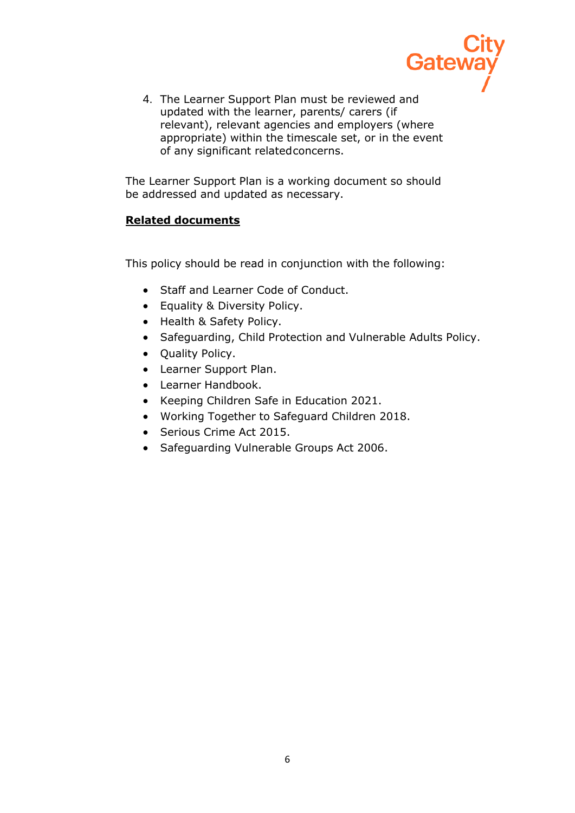

4. The Learner Support Plan must be reviewed and updated with the learner, parents/ carers (if relevant), relevant agencies and employers (where appropriate) within the timescale set, or in the event of any significant relatedconcerns.

The Learner Support Plan is a working document so should be addressed and updated as necessary.

## **Related documents**

This policy should be read in conjunction with the following:

- Staff and Learner Code of Conduct.
- Equality & Diversity Policy.
- Health & Safety Policy.
- Safeguarding, Child Protection and Vulnerable Adults Policy.
- Quality Policy.
- Learner Support Plan.
- Learner Handbook.
- Keeping Children Safe in Education 2021.
- Working Together to Safeguard Children 2018.
- Serious Crime Act 2015.
- Safeguarding Vulnerable Groups Act 2006.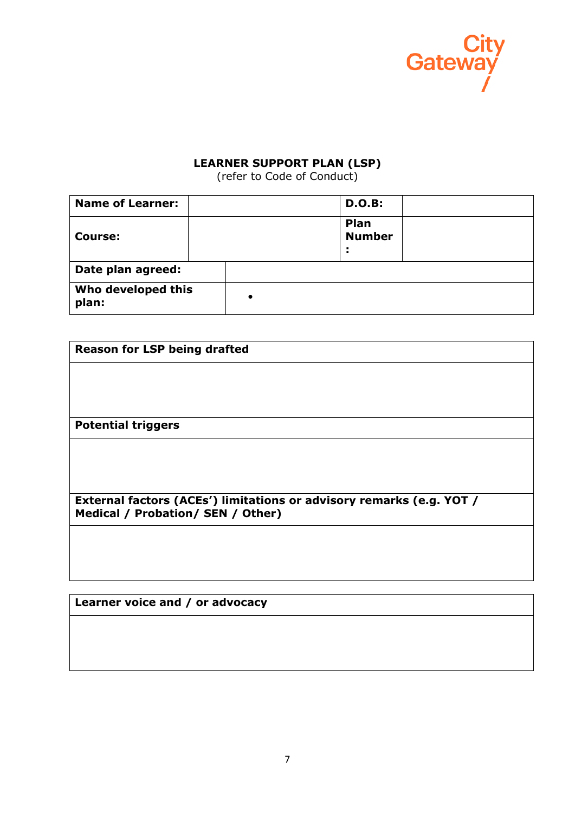

#### **LEARNER SUPPORT PLAN (LSP)**

(refer to Code of Conduct)

| <b>Name of Learner:</b>     |  | <b>D.O.B:</b>         |  |
|-----------------------------|--|-----------------------|--|
| <b>Course:</b>              |  | Plan<br><b>Number</b> |  |
| Date plan agreed:           |  |                       |  |
| Who developed this<br>plan: |  |                       |  |

| <b>Reason for LSP being drafted</b>                                                                       |  |
|-----------------------------------------------------------------------------------------------------------|--|
|                                                                                                           |  |
|                                                                                                           |  |
| <b>Potential triggers</b>                                                                                 |  |
|                                                                                                           |  |
|                                                                                                           |  |
| External factors (ACEs') limitations or advisory remarks (e.g. YOT /<br>Medical / Probation/ SEN / Other) |  |
|                                                                                                           |  |
|                                                                                                           |  |

**Learner voice and / or advocacy**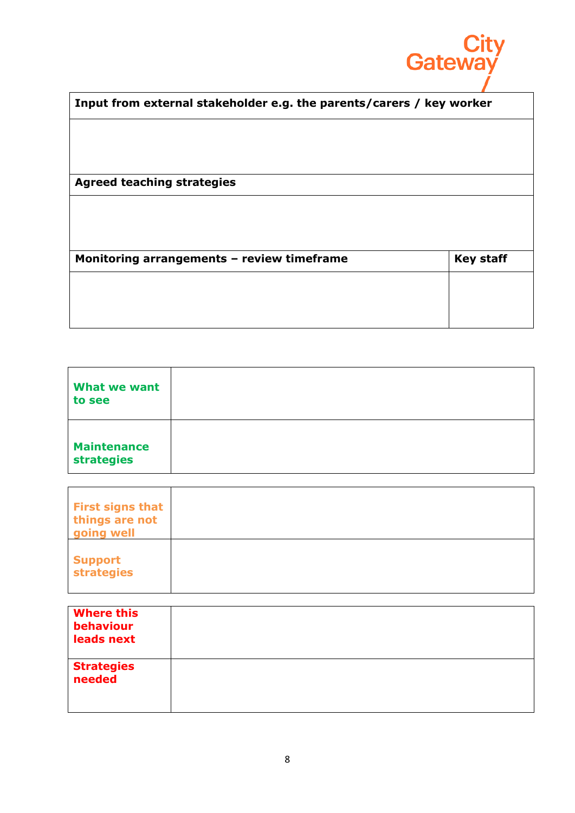

| Input from external stakeholder e.g. the parents/carers / key worker |                  |
|----------------------------------------------------------------------|------------------|
|                                                                      |                  |
|                                                                      |                  |
| <b>Agreed teaching strategies</b>                                    |                  |
|                                                                      |                  |
|                                                                      |                  |
| Monitoring arrangements - review timeframe                           | <b>Key staff</b> |
|                                                                      |                  |

| What we want<br>to see                  |  |
|-----------------------------------------|--|
| <b>Maintenance</b><br><b>strategies</b> |  |

| <b>First signs that</b><br>things are not<br>going well |  |
|---------------------------------------------------------|--|
| <b>Support</b><br><b>strategies</b>                     |  |

| <b>Where this</b><br>behaviour<br>leads next |  |
|----------------------------------------------|--|
| <b>Strategies</b><br>needed                  |  |